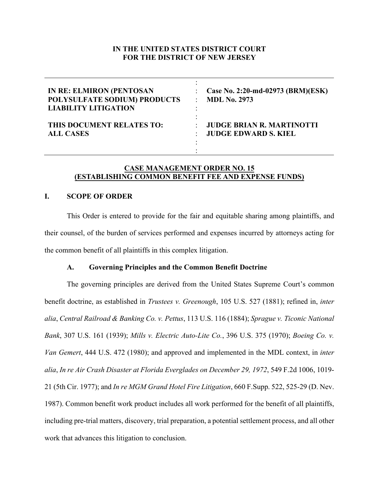# **IN THE UNITED STATES DISTRICT COURT FOR THE DISTRICT OF NEW JERSEY**

| <b>IN RE: ELMIRON (PENTOSAN</b><br>POLYSULFATE SODIUM) PRODUCTS<br><b>LIABILITY LITIGATION</b> | Case No. 2:20-md-02973 (BRM)(ESK)<br><b>MDL No. 2973</b>                     |
|------------------------------------------------------------------------------------------------|------------------------------------------------------------------------------|
| THIS DOCUMENT RELATES TO:<br><b>ALL CASES</b>                                                  | <b>JUDGE BRIAN R. MARTINOTTI</b><br>$\bullet$<br><b>JUDGE EDWARD S. KIEL</b> |

# **CASE MANAGEMENT ORDER NO. 15 (ESTABLISHING COMMON BENEFIT FEE AND EXPENSE FUNDS)**

## **I. SCOPE OF ORDER**

This Order is entered to provide for the fair and equitable sharing among plaintiffs, and their counsel, of the burden of services performed and expenses incurred by attorneys acting for the common benefit of all plaintiffs in this complex litigation.

### **A. Governing Principles and the Common Benefit Doctrine**

The governing principles are derived from the United States Supreme Court's common benefit doctrine, as established in *Trustees v. Greenough*, 105 U.S. 527 (1881); refined in, *inter alia*, *Central Railroad & Banking Co. v. Pettus*, 113 U.S. 116 (1884); *Sprague v. Ticonic National Bank*, 307 U.S. 161 (1939); *Mills v. Electric Auto-Lite Co.*, 396 U.S. 375 (1970); *Boeing Co. v. Van Gemert*, 444 U.S. 472 (1980); and approved and implemented in the MDL context, in *inter alia*, *In re Air Crash Disaster at Florida Everglades on December 29, 1972*, 549 F.2d 1006, 1019- 21 (5th Cir. 1977); and *In re MGM Grand Hotel Fire Litigation*, 660 F.Supp. 522, 525-29 (D. Nev. 1987). Common benefit work product includes all work performed for the benefit of all plaintiffs, including pre-trial matters, discovery, trial preparation, a potential settlement process, and all other work that advances this litigation to conclusion.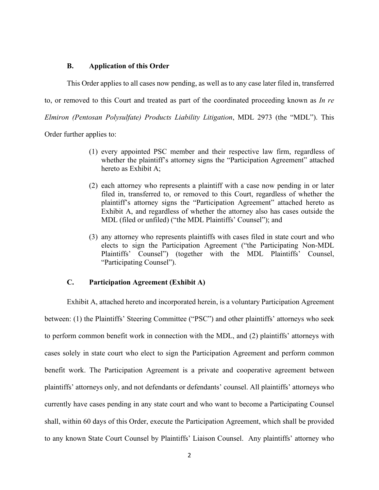### **B. Application of this Order**

This Order applies to all cases now pending, as well as to any case later filed in, transferred to, or removed to this Court and treated as part of the coordinated proceeding known as *In re Elmiron (Pentosan Polysulfate) Products Liability Litigation*, MDL 2973 (the "MDL"). This

Order further applies to:

- (1) every appointed PSC member and their respective law firm, regardless of whether the plaintiff's attorney signs the "Participation Agreement" attached hereto as Exhibit A;
- (2) each attorney who represents a plaintiff with a case now pending in or later filed in, transferred to, or removed to this Court, regardless of whether the plaintiff's attorney signs the "Participation Agreement" attached hereto as Exhibit A, and regardless of whether the attorney also has cases outside the MDL (filed or unfiled) ("the MDL Plaintiffs' Counsel"); and
- (3) any attorney who represents plaintiffs with cases filed in state court and who elects to sign the Participation Agreement ("the Participating Non-MDL Plaintiffs' Counsel") (together with the MDL Plaintiffs' Counsel, "Participating Counsel").

## **C. Participation Agreement (Exhibit A)**

Exhibit A, attached hereto and incorporated herein, is a voluntary Participation Agreement between: (1) the Plaintiffs' Steering Committee ("PSC") and other plaintiffs' attorneys who seek to perform common benefit work in connection with the MDL, and (2) plaintiffs' attorneys with cases solely in state court who elect to sign the Participation Agreement and perform common benefit work. The Participation Agreement is a private and cooperative agreement between plaintiffs' attorneys only, and not defendants or defendants' counsel. All plaintiffs' attorneys who currently have cases pending in any state court and who want to become a Participating Counsel shall, within 60 days of this Order, execute the Participation Agreement, which shall be provided to any known State Court Counsel by Plaintiffs' Liaison Counsel. Any plaintiffs' attorney who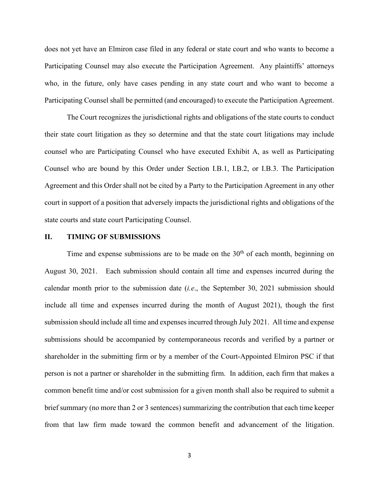does not yet have an Elmiron case filed in any federal or state court and who wants to become a Participating Counsel may also execute the Participation Agreement. Any plaintiffs' attorneys who, in the future, only have cases pending in any state court and who want to become a Participating Counsel shall be permitted (and encouraged) to execute the Participation Agreement.

The Court recognizes the jurisdictional rights and obligations of the state courts to conduct their state court litigation as they so determine and that the state court litigations may include counsel who are Participating Counsel who have executed Exhibit A, as well as Participating Counsel who are bound by this Order under Section I.B.1, I.B.2, or I.B.3. The Participation Agreement and this Order shall not be cited by a Party to the Participation Agreement in any other court in support of a position that adversely impacts the jurisdictional rights and obligations of the state courts and state court Participating Counsel.

### **II. TIMING OF SUBMISSIONS**

Time and expense submissions are to be made on the  $30<sup>th</sup>$  of each month, beginning on August 30, 2021. Each submission should contain all time and expenses incurred during the calendar month prior to the submission date (*i.e*., the September 30, 2021 submission should include all time and expenses incurred during the month of August 2021), though the first submission should include all time and expenses incurred through July 2021. All time and expense submissions should be accompanied by contemporaneous records and verified by a partner or shareholder in the submitting firm or by a member of the Court-Appointed Elmiron PSC if that person is not a partner or shareholder in the submitting firm. In addition, each firm that makes a common benefit time and/or cost submission for a given month shall also be required to submit a brief summary (no more than 2 or 3 sentences) summarizing the contribution that each time keeper from that law firm made toward the common benefit and advancement of the litigation.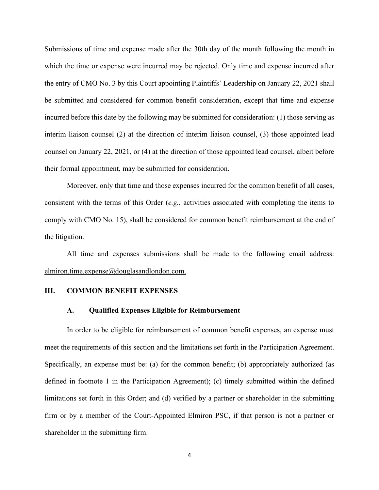Submissions of time and expense made after the 30th day of the month following the month in which the time or expense were incurred may be rejected. Only time and expense incurred after the entry of CMO No. 3 by this Court appointing Plaintiffs' Leadership on January 22, 2021 shall be submitted and considered for common benefit consideration, except that time and expense incurred before this date by the following may be submitted for consideration: (1) those serving as interim liaison counsel (2) at the direction of interim liaison counsel, (3) those appointed lead counsel on January 22, 2021, or (4) at the direction of those appointed lead counsel, albeit before their formal appointment, may be submitted for consideration.

Moreover, only that time and those expenses incurred for the common benefit of all cases, consistent with the terms of this Order (*e.g.*, activities associated with completing the items to comply with CMO No. 15), shall be considered for common benefit reimbursement at the end of the litigation.

All time and expenses submissions shall be made to the following email address: elmiron.time.expense@douglasandlondon.com.

### **III. COMMON BENEFIT EXPENSES**

#### **A. Qualified Expenses Eligible for Reimbursement**

In order to be eligible for reimbursement of common benefit expenses, an expense must meet the requirements of this section and the limitations set forth in the Participation Agreement. Specifically, an expense must be: (a) for the common benefit; (b) appropriately authorized (as defined in footnote 1 in the Participation Agreement); (c) timely submitted within the defined limitations set forth in this Order; and (d) verified by a partner or shareholder in the submitting firm or by a member of the Court-Appointed Elmiron PSC, if that person is not a partner or shareholder in the submitting firm.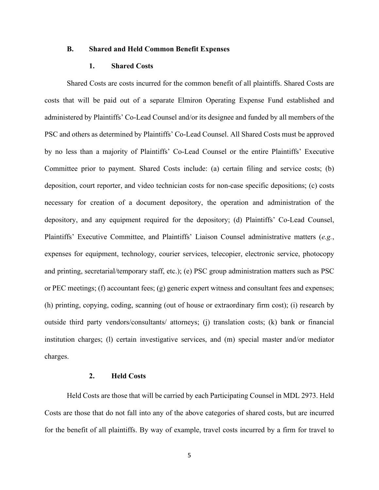### **B. Shared and Held Common Benefit Expenses**

### **1. Shared Costs**

Shared Costs are costs incurred for the common benefit of all plaintiffs. Shared Costs are costs that will be paid out of a separate Elmiron Operating Expense Fund established and administered by Plaintiffs' Co-Lead Counsel and/or its designee and funded by all members of the PSC and others as determined by Plaintiffs' Co-Lead Counsel. All Shared Costs must be approved by no less than a majority of Plaintiffs' Co-Lead Counsel or the entire Plaintiffs' Executive Committee prior to payment. Shared Costs include: (a) certain filing and service costs; (b) deposition, court reporter, and video technician costs for non-case specific depositions; (c) costs necessary for creation of a document depository, the operation and administration of the depository, and any equipment required for the depository; (d) Plaintiffs' Co-Lead Counsel, Plaintiffs' Executive Committee, and Plaintiffs' Liaison Counsel administrative matters (*e.g.*, expenses for equipment, technology, courier services, telecopier, electronic service, photocopy and printing, secretarial/temporary staff, etc.); (e) PSC group administration matters such as PSC or PEC meetings; (f) accountant fees; (g) generic expert witness and consultant fees and expenses; (h) printing, copying, coding, scanning (out of house or extraordinary firm cost); (i) research by outside third party vendors/consultants/ attorneys; (j) translation costs; (k) bank or financial institution charges; (l) certain investigative services, and (m) special master and/or mediator charges.

## **2. Held Costs**

Held Costs are those that will be carried by each Participating Counsel in MDL 2973. Held Costs are those that do not fall into any of the above categories of shared costs, but are incurred for the benefit of all plaintiffs. By way of example, travel costs incurred by a firm for travel to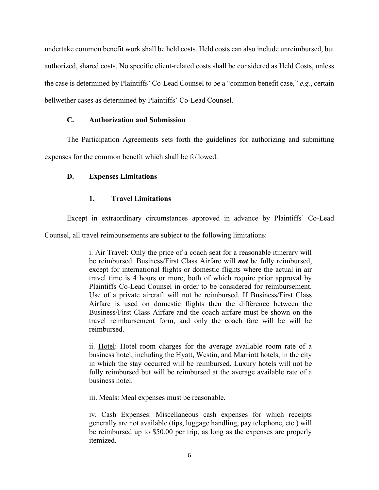undertake common benefit work shall be held costs. Held costs can also include unreimbursed, but authorized, shared costs. No specific client-related costs shall be considered as Held Costs, unless the case is determined by Plaintiffs' Co-Lead Counsel to be a "common benefit case," *e.g.*, certain bellwether cases as determined by Plaintiffs' Co-Lead Counsel.

## **C. Authorization and Submission**

The Participation Agreements sets forth the guidelines for authorizing and submitting expenses for the common benefit which shall be followed.

# **D. Expenses Limitations**

# **1. Travel Limitations**

Except in extraordinary circumstances approved in advance by Plaintiffs' Co-Lead

Counsel, all travel reimbursements are subject to the following limitations:

i. Air Travel: Only the price of a coach seat for a reasonable itinerary will be reimbursed. Business/First Class Airfare will *not* be fully reimbursed, except for international flights or domestic flights where the actual in air travel time is 4 hours or more, both of which require prior approval by Plaintiffs Co-Lead Counsel in order to be considered for reimbursement. Use of a private aircraft will not be reimbursed. If Business/First Class Airfare is used on domestic flights then the difference between the Business/First Class Airfare and the coach airfare must be shown on the travel reimbursement form, and only the coach fare will be will be reimbursed.

ii. Hotel: Hotel room charges for the average available room rate of a business hotel, including the Hyatt, Westin, and Marriott hotels, in the city in which the stay occurred will be reimbursed. Luxury hotels will not be fully reimbursed but will be reimbursed at the average available rate of a business hotel.

iii. Meals: Meal expenses must be reasonable.

iv. Cash Expenses: Miscellaneous cash expenses for which receipts generally are not available (tips, luggage handling, pay telephone, etc.) will be reimbursed up to \$50.00 per trip, as long as the expenses are properly itemized.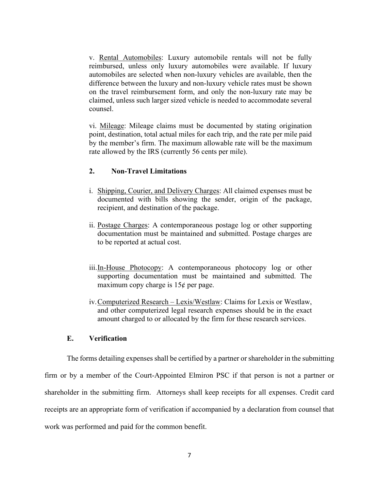v. Rental Automobiles: Luxury automobile rentals will not be fully reimbursed, unless only luxury automobiles were available. If luxury automobiles are selected when non-luxury vehicles are available, then the difference between the luxury and non-luxury vehicle rates must be shown on the travel reimbursement form, and only the non-luxury rate may be claimed, unless such larger sized vehicle is needed to accommodate several counsel.

vi. Mileage: Mileage claims must be documented by stating origination point, destination, total actual miles for each trip, and the rate per mile paid by the member's firm. The maximum allowable rate will be the maximum rate allowed by the IRS (currently 56 cents per mile).

# **2. Non-Travel Limitations**

- i. Shipping, Courier, and Delivery Charges: All claimed expenses must be documented with bills showing the sender, origin of the package, recipient, and destination of the package.
- ii. Postage Charges: A contemporaneous postage log or other supporting documentation must be maintained and submitted. Postage charges are to be reported at actual cost.
- iii.In-House Photocopy: A contemporaneous photocopy log or other supporting documentation must be maintained and submitted. The maximum copy charge is  $15¢$  per page.
- iv.Computerized Research Lexis/Westlaw: Claims for Lexis or Westlaw, and other computerized legal research expenses should be in the exact amount charged to or allocated by the firm for these research services.

### **E. Verification**

The forms detailing expenses shall be certified by a partner or shareholder in the submitting firm or by a member of the Court-Appointed Elmiron PSC if that person is not a partner or shareholder in the submitting firm. Attorneys shall keep receipts for all expenses. Credit card receipts are an appropriate form of verification if accompanied by a declaration from counsel that work was performed and paid for the common benefit.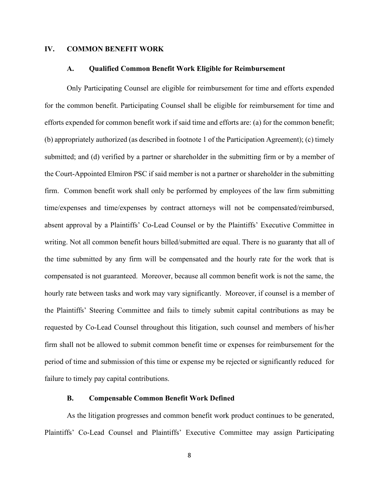## **IV. COMMON BENEFIT WORK**

#### **A. Qualified Common Benefit Work Eligible for Reimbursement**

Only Participating Counsel are eligible for reimbursement for time and efforts expended for the common benefit. Participating Counsel shall be eligible for reimbursement for time and efforts expended for common benefit work if said time and efforts are: (a) for the common benefit; (b) appropriately authorized (as described in footnote 1 of the Participation Agreement); (c) timely submitted; and (d) verified by a partner or shareholder in the submitting firm or by a member of the Court-Appointed Elmiron PSC if said member is not a partner or shareholder in the submitting firm. Common benefit work shall only be performed by employees of the law firm submitting time/expenses and time/expenses by contract attorneys will not be compensated/reimbursed, absent approval by a Plaintiffs' Co-Lead Counsel or by the Plaintiffs' Executive Committee in writing. Not all common benefit hours billed/submitted are equal. There is no guaranty that all of the time submitted by any firm will be compensated and the hourly rate for the work that is compensated is not guaranteed. Moreover, because all common benefit work is not the same, the hourly rate between tasks and work may vary significantly. Moreover, if counsel is a member of the Plaintiffs' Steering Committee and fails to timely submit capital contributions as may be requested by Co-Lead Counsel throughout this litigation, such counsel and members of his/her firm shall not be allowed to submit common benefit time or expenses for reimbursement for the period of time and submission of this time or expense my be rejected or significantly reduced for failure to timely pay capital contributions.

## **B. Compensable Common Benefit Work Defined**

As the litigation progresses and common benefit work product continues to be generated, Plaintiffs' Co-Lead Counsel and Plaintiffs' Executive Committee may assign Participating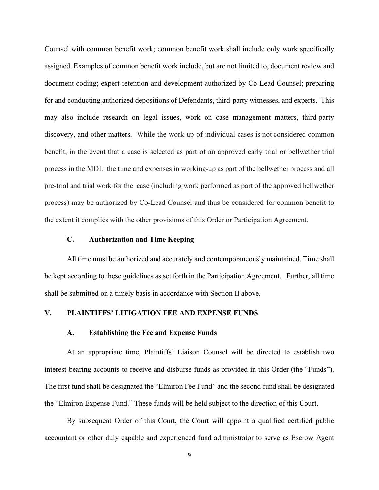Counsel with common benefit work; common benefit work shall include only work specifically assigned. Examples of common benefit work include, but are not limited to, document review and document coding; expert retention and development authorized by Co-Lead Counsel; preparing for and conducting authorized depositions of Defendants, third-party witnesses, and experts. This may also include research on legal issues, work on case management matters, third-party discovery, and other matters. While the work-up of individual cases is not considered common benefit, in the event that a case is selected as part of an approved early trial or bellwether trial process in the MDL the time and expenses in working-up as part of the bellwether process and all pre-trial and trial work for the case (including work performed as part of the approved bellwether process) may be authorized by Co-Lead Counsel and thus be considered for common benefit to the extent it complies with the other provisions of this Order or Participation Agreement.

### **C. Authorization and Time Keeping**

All time must be authorized and accurately and contemporaneously maintained. Time shall be kept according to these guidelines as set forth in the Participation Agreement. Further, all time shall be submitted on a timely basis in accordance with Section II above.

# **V. PLAINTIFFS' LITIGATION FEE AND EXPENSE FUNDS**

#### **A. Establishing the Fee and Expense Funds**

At an appropriate time, Plaintiffs' Liaison Counsel will be directed to establish two interest-bearing accounts to receive and disburse funds as provided in this Order (the "Funds"). The first fund shall be designated the "Elmiron Fee Fund" and the second fund shall be designated the "Elmiron Expense Fund." These funds will be held subject to the direction of this Court.

By subsequent Order of this Court, the Court will appoint a qualified certified public accountant or other duly capable and experienced fund administrator to serve as Escrow Agent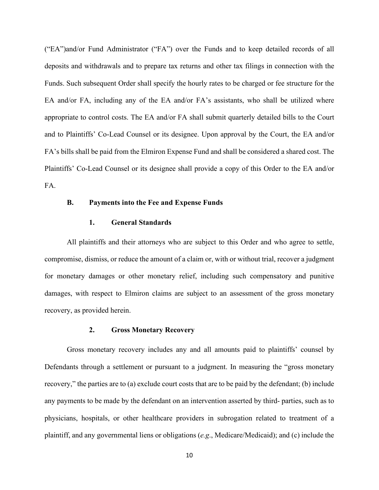("EA")and/or Fund Administrator ("FA") over the Funds and to keep detailed records of all deposits and withdrawals and to prepare tax returns and other tax filings in connection with the Funds. Such subsequent Order shall specify the hourly rates to be charged or fee structure for the EA and/or FA, including any of the EA and/or FA's assistants, who shall be utilized where appropriate to control costs. The EA and/or FA shall submit quarterly detailed bills to the Court and to Plaintiffs' Co-Lead Counsel or its designee. Upon approval by the Court, the EA and/or FA's bills shall be paid from the Elmiron Expense Fund and shall be considered a shared cost. The Plaintiffs' Co-Lead Counsel or its designee shall provide a copy of this Order to the EA and/or FA.

#### **B. Payments into the Fee and Expense Funds**

### **1. General Standards**

All plaintiffs and their attorneys who are subject to this Order and who agree to settle, compromise, dismiss, or reduce the amount of a claim or, with or without trial, recover a judgment for monetary damages or other monetary relief, including such compensatory and punitive damages, with respect to Elmiron claims are subject to an assessment of the gross monetary recovery, as provided herein.

### **2. Gross Monetary Recovery**

Gross monetary recovery includes any and all amounts paid to plaintiffs' counsel by Defendants through a settlement or pursuant to a judgment. In measuring the "gross monetary recovery," the parties are to (a) exclude court costs that are to be paid by the defendant; (b) include any payments to be made by the defendant on an intervention asserted by third- parties, such as to physicians, hospitals, or other healthcare providers in subrogation related to treatment of a plaintiff, and any governmental liens or obligations (*e.g*., Medicare/Medicaid); and (c) include the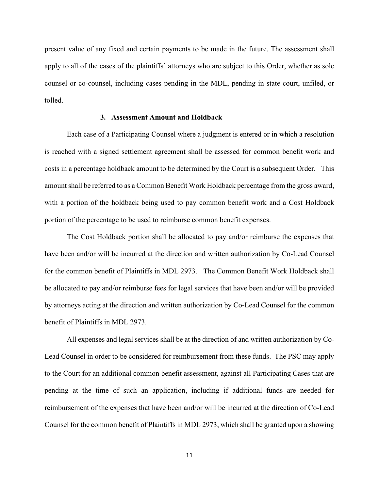present value of any fixed and certain payments to be made in the future. The assessment shall apply to all of the cases of the plaintiffs' attorneys who are subject to this Order, whether as sole counsel or co-counsel, including cases pending in the MDL, pending in state court, unfiled, or tolled.

## **3. Assessment Amount and Holdback**

Each case of a Participating Counsel where a judgment is entered or in which a resolution is reached with a signed settlement agreement shall be assessed for common benefit work and costs in a percentage holdback amount to be determined by the Court is a subsequent Order. This amount shall be referred to as a Common Benefit Work Holdback percentage from the gross award, with a portion of the holdback being used to pay common benefit work and a Cost Holdback portion of the percentage to be used to reimburse common benefit expenses.

The Cost Holdback portion shall be allocated to pay and/or reimburse the expenses that have been and/or will be incurred at the direction and written authorization by Co-Lead Counsel for the common benefit of Plaintiffs in MDL 2973. The Common Benefit Work Holdback shall be allocated to pay and/or reimburse fees for legal services that have been and/or will be provided by attorneys acting at the direction and written authorization by Co-Lead Counsel for the common benefit of Plaintiffs in MDL 2973.

All expenses and legal services shall be at the direction of and written authorization by Co-Lead Counsel in order to be considered for reimbursement from these funds. The PSC may apply to the Court for an additional common benefit assessment, against all Participating Cases that are pending at the time of such an application, including if additional funds are needed for reimbursement of the expenses that have been and/or will be incurred at the direction of Co-Lead Counsel for the common benefit of Plaintiffs in MDL 2973, which shall be granted upon a showing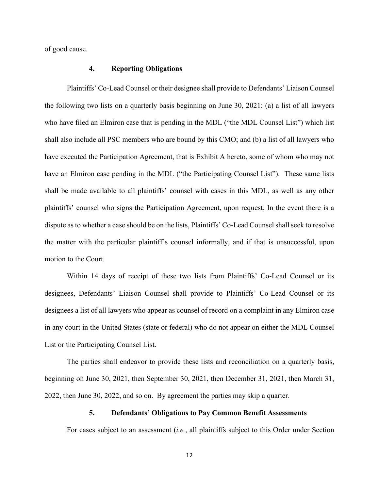of good cause.

#### **4. Reporting Obligations**

Plaintiffs' Co-Lead Counsel or their designee shall provide to Defendants' Liaison Counsel the following two lists on a quarterly basis beginning on June 30, 2021: (a) a list of all lawyers who have filed an Elmiron case that is pending in the MDL ("the MDL Counsel List") which list shall also include all PSC members who are bound by this CMO; and (b) a list of all lawyers who have executed the Participation Agreement, that is Exhibit A hereto, some of whom who may not have an Elmiron case pending in the MDL ("the Participating Counsel List"). These same lists shall be made available to all plaintiffs' counsel with cases in this MDL, as well as any other plaintiffs' counsel who signs the Participation Agreement, upon request. In the event there is a dispute as to whether a case should be on the lists, Plaintiffs' Co-Lead Counsel shall seek to resolve the matter with the particular plaintiff's counsel informally, and if that is unsuccessful, upon motion to the Court.

Within 14 days of receipt of these two lists from Plaintiffs' Co-Lead Counsel or its designees, Defendants' Liaison Counsel shall provide to Plaintiffs' Co-Lead Counsel or its designees a list of all lawyers who appear as counsel of record on a complaint in any Elmiron case in any court in the United States (state or federal) who do not appear on either the MDL Counsel List or the Participating Counsel List.

The parties shall endeavor to provide these lists and reconciliation on a quarterly basis, beginning on June 30, 2021, then September 30, 2021, then December 31, 2021, then March 31, 2022, then June 30, 2022, and so on. By agreement the parties may skip a quarter.

### **5. Defendants' Obligations to Pay Common Benefit Assessments**

For cases subject to an assessment (*i.e.*, all plaintiffs subject to this Order under Section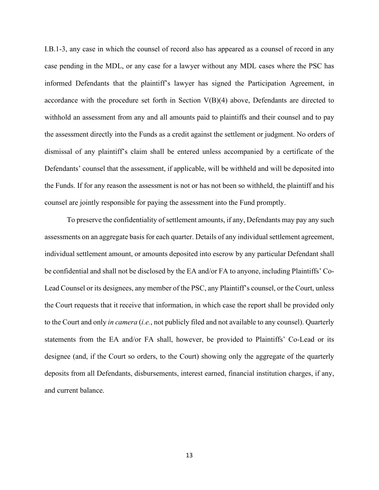I.B.1-3, any case in which the counsel of record also has appeared as a counsel of record in any case pending in the MDL, or any case for a lawyer without any MDL cases where the PSC has informed Defendants that the plaintiff's lawyer has signed the Participation Agreement, in accordance with the procedure set forth in Section V(B)(4) above, Defendants are directed to withhold an assessment from any and all amounts paid to plaintiffs and their counsel and to pay the assessment directly into the Funds as a credit against the settlement or judgment. No orders of dismissal of any plaintiff's claim shall be entered unless accompanied by a certificate of the Defendants' counsel that the assessment, if applicable, will be withheld and will be deposited into the Funds. If for any reason the assessment is not or has not been so withheld, the plaintiff and his counsel are jointly responsible for paying the assessment into the Fund promptly.

To preserve the confidentiality of settlement amounts, if any, Defendants may pay any such assessments on an aggregate basis for each quarter. Details of any individual settlement agreement, individual settlement amount, or amounts deposited into escrow by any particular Defendant shall be confidential and shall not be disclosed by the EA and/or FA to anyone, including Plaintiffs' Co-Lead Counsel or its designees, any member of the PSC, any Plaintiff's counsel, or the Court, unless the Court requests that it receive that information, in which case the report shall be provided only to the Court and only *in camera* (*i.e.*, not publicly filed and not available to any counsel). Quarterly statements from the EA and/or FA shall, however, be provided to Plaintiffs' Co-Lead or its designee (and, if the Court so orders, to the Court) showing only the aggregate of the quarterly deposits from all Defendants, disbursements, interest earned, financial institution charges, if any, and current balance.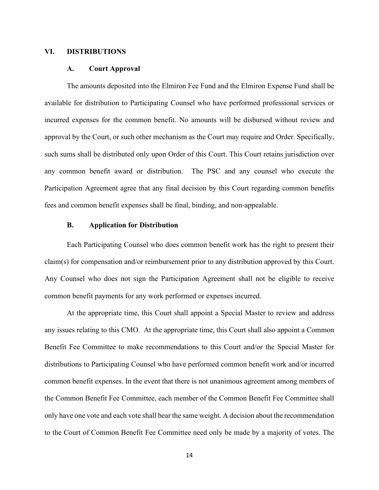## **VI. DISTRIBUTIONS**

#### **A. Court Approval**

The amounts deposited into the Elmiron Fee Fund and the Elmiron Expense Fund shall be available for distribution to Participating Counsel who have performed professional services or incurred expenses for the common benefit. No amounts will be disbursed without review and approval by the Court, or such other mechanism as the Court may require and Order. Specifically, such sums shall be distributed only upon Order of this Court. This Court retains jurisdiction over any common benefit award or distribution. The PSC and any counsel who execute the Participation Agreement agree that any final decision by this Court regarding common benefits fees and common benefit expenses shall be final, binding, and non-appealable.

# **B. Application for Distribution**

Each Participating Counsel who does common benefit work has the right to present their claim(s) for compensation and/or reimbursement prior to any distribution approved by this Court. Any Counsel who does not sign the Participation Agreement shall not be eligible to receive common benefit payments for any work performed or expenses incurred.

At the appropriate time, this Court shall appoint a Special Master to review and address any issues relating to this CMO. At the appropriate time, this Court shall also appoint a Common Benefit Fee Committee to make recommendations to this Court and/or the Special Master for distributions to Participating Counsel who have performed common benefit work and/or incurred common benefit expenses. In the event that there is not unanimous agreement among members of the Common Benefit Fee Committee, each member of the Common Benefit Fee Committee shall only have one vote and each vote shall bear the same weight. A decision about the recommendation to the Court of Common Benefit Fee Committee need only be made by a majority of votes. The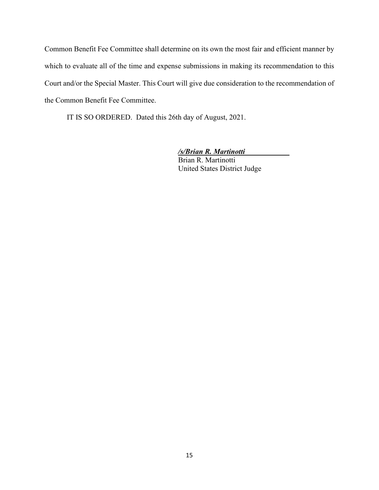Common Benefit Fee Committee shall determine on its own the most fair and efficient manner by which to evaluate all of the time and expense submissions in making its recommendation to this Court and/or the Special Master. This Court will give due consideration to the recommendation of the Common Benefit Fee Committee.

IT IS SO ORDERED. Dated this 26th day of August, 2021.

*/s/Brian R. Martinotti* Brian R. Martinotti United States District Judge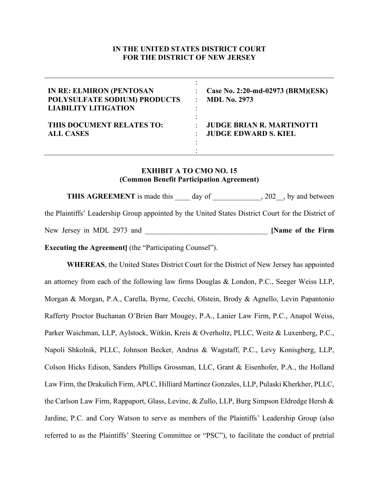# **IN THE UNITED STATES DISTRICT COURT FOR THE DISTRICT OF NEW JERSEY**

| <b>IN RE: ELMIRON (PENTOSAN</b><br>POLYSULFATE SODIUM) PRODUCTS<br><b>LIABILITY LITIGATION</b> | Case No. 2:20-md-02973 (BRM)(ESK)<br><b>MDL No. 2973</b>                         |
|------------------------------------------------------------------------------------------------|----------------------------------------------------------------------------------|
| THIS DOCUMENT RELATES TO:<br><b>ALL CASES</b>                                                  | <b>JUDGE BRIAN R. MARTINOTTI</b><br>$\mathcal{L}$<br><b>JUDGE EDWARD S. KIEL</b> |

# **EXHIBIT A TO CMO NO. 15 (Common Benefit Participation Agreement)**

**THIS AGREEMENT** is made this day of , 202, by and between the Plaintiffs' Leadership Group appointed by the United States District Court for the District of New Jersey in MDL 2973 and **I was also well as a set of the Firm [Name of the Firm** 

**Executing the Agreement]** (the "Participating Counsel").

**WHEREAS**, the United States District Court for the District of New Jersey has appointed an attorney from each of the following law firms Douglas & London, P.C., Seeger Weiss LLP, Morgan & Morgan, P.A., Carella, Byrne, Cecchi, Olstein, Brody & Agnello, Levin Papantonio Rafferty Proctor Buchanan O'Brien Barr Mougey, P.A., Lanier Law Firm, P.C., Anapol Weiss, Parker Waichman, LLP, Aylstock, Witkin, Kreis & Overholtz, PLLC, Weitz & Luxenberg, P.C., Napoli Shkolnik, PLLC, Johnson Becker, Andrus & Wagstaff, P.C., Levy Konisgberg, LLP, Colson Hicks Edison, Sanders Phillips Grossman, LLC, Grant & Eisenhofer, P.A., the Holland Law Firm, the Drakulich Firm, APLC, Hilliard Martinez Gonzales, LLP, Pulaski Kherkher, PLLC, the Carlson Law Firm, Rappaport, Glass, Levine, & Zullo, LLP, Burg Simpson Eldredge Hersh & Jardine, P.C. and Cory Watson to serve as members of the Plaintiffs' Leadership Group (also referred to as the Plaintiffs' Steering Committee or "PSC"), to facilitate the conduct of pretrial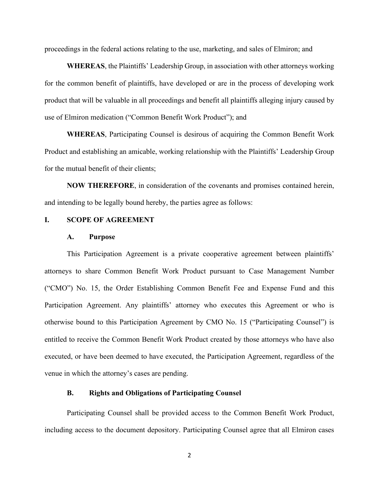proceedings in the federal actions relating to the use, marketing, and sales of Elmiron; and

**WHEREAS**, the Plaintiffs' Leadership Group, in association with other attorneys working for the common benefit of plaintiffs, have developed or are in the process of developing work product that will be valuable in all proceedings and benefit all plaintiffs alleging injury caused by use of Elmiron medication ("Common Benefit Work Product"); and

**WHEREAS**, Participating Counsel is desirous of acquiring the Common Benefit Work Product and establishing an amicable, working relationship with the Plaintiffs' Leadership Group for the mutual benefit of their clients;

**NOW THEREFORE**, in consideration of the covenants and promises contained herein, and intending to be legally bound hereby, the parties agree as follows:

#### **I. SCOPE OF AGREEMENT**

#### **A. Purpose**

This Participation Agreement is a private cooperative agreement between plaintiffs' attorneys to share Common Benefit Work Product pursuant to Case Management Number ("CMO") No. 15, the Order Establishing Common Benefit Fee and Expense Fund and this Participation Agreement. Any plaintiffs' attorney who executes this Agreement or who is otherwise bound to this Participation Agreement by CMO No. 15 ("Participating Counsel") is entitled to receive the Common Benefit Work Product created by those attorneys who have also executed, or have been deemed to have executed, the Participation Agreement, regardless of the venue in which the attorney's cases are pending.

## **B. Rights and Obligations of Participating Counsel**

Participating Counsel shall be provided access to the Common Benefit Work Product, including access to the document depository. Participating Counsel agree that all Elmiron cases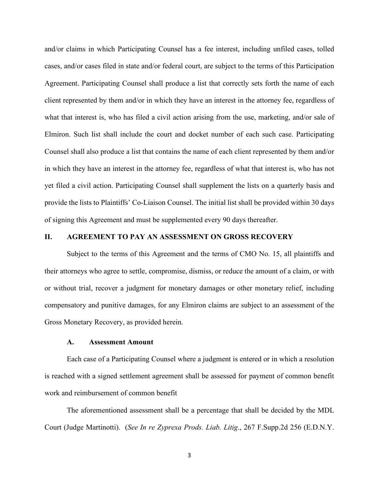and/or claims in which Participating Counsel has a fee interest, including unfiled cases, tolled cases, and/or cases filed in state and/or federal court, are subject to the terms of this Participation Agreement. Participating Counsel shall produce a list that correctly sets forth the name of each client represented by them and/or in which they have an interest in the attorney fee, regardless of what that interest is, who has filed a civil action arising from the use, marketing, and/or sale of Elmiron. Such list shall include the court and docket number of each such case. Participating Counsel shall also produce a list that contains the name of each client represented by them and/or in which they have an interest in the attorney fee, regardless of what that interest is, who has not yet filed a civil action. Participating Counsel shall supplement the lists on a quarterly basis and provide the lists to Plaintiffs' Co-Liaison Counsel. The initial list shall be provided within 30 days of signing this Agreement and must be supplemented every 90 days thereafter.

## **II. AGREEMENT TO PAY AN ASSESSMENT ON GROSS RECOVERY**

Subject to the terms of this Agreement and the terms of CMO No. 15, all plaintiffs and their attorneys who agree to settle, compromise, dismiss, or reduce the amount of a claim, or with or without trial, recover a judgment for monetary damages or other monetary relief, including compensatory and punitive damages, for any Elmiron claims are subject to an assessment of the Gross Monetary Recovery, as provided herein.

### **A. Assessment Amount**

Each case of a Participating Counsel where a judgment is entered or in which a resolution is reached with a signed settlement agreement shall be assessed for payment of common benefit work and reimbursement of common benefit

The aforementioned assessment shall be a percentage that shall be decided by the MDL Court (Judge Martinotti). (*See In re Zyprexa Prods. Liab. Litig*., 267 F.Supp.2d 256 (E.D.N.Y.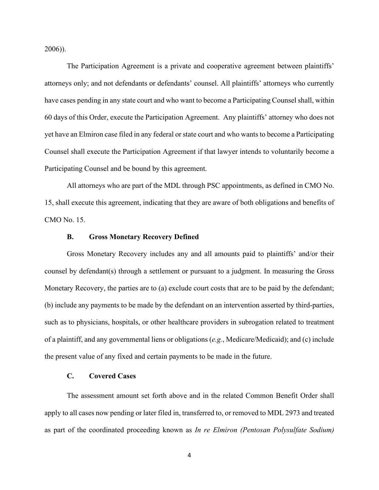2006)).

The Participation Agreement is a private and cooperative agreement between plaintiffs' attorneys only; and not defendants or defendants' counsel. All plaintiffs' attorneys who currently have cases pending in any state court and who want to become a Participating Counsel shall, within 60 days of this Order, execute the Participation Agreement. Any plaintiffs' attorney who does not yet have an Elmiron case filed in any federal or state court and who wants to become a Participating Counsel shall execute the Participation Agreement if that lawyer intends to voluntarily become a Participating Counsel and be bound by this agreement.

All attorneys who are part of the MDL through PSC appointments, as defined in CMO No. 15, shall execute this agreement, indicating that they are aware of both obligations and benefits of CMO No. 15.

## **B. Gross Monetary Recovery Defined**

Gross Monetary Recovery includes any and all amounts paid to plaintiffs' and/or their counsel by defendant(s) through a settlement or pursuant to a judgment. In measuring the Gross Monetary Recovery, the parties are to (a) exclude court costs that are to be paid by the defendant; (b) include any payments to be made by the defendant on an intervention asserted by third-parties, such as to physicians, hospitals, or other healthcare providers in subrogation related to treatment of a plaintiff, and any governmental liens or obligations (*e.g.*, Medicare/Medicaid); and (c) include the present value of any fixed and certain payments to be made in the future.

# **C. Covered Cases**

The assessment amount set forth above and in the related Common Benefit Order shall apply to all cases now pending or later filed in, transferred to, or removed to MDL 2973 and treated as part of the coordinated proceeding known as *In re Elmiron (Pentosan Polysulfate Sodium)*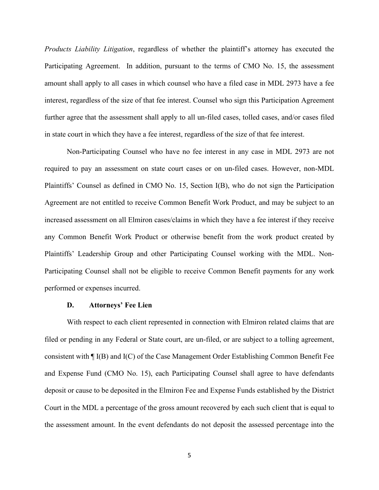*Products Liability Litigation*, regardless of whether the plaintiff's attorney has executed the Participating Agreement. In addition, pursuant to the terms of CMO No. 15, the assessment amount shall apply to all cases in which counsel who have a filed case in MDL 2973 have a fee interest, regardless of the size of that fee interest. Counsel who sign this Participation Agreement further agree that the assessment shall apply to all un-filed cases, tolled cases, and/or cases filed in state court in which they have a fee interest, regardless of the size of that fee interest.

Non-Participating Counsel who have no fee interest in any case in MDL 2973 are not required to pay an assessment on state court cases or on un-filed cases. However, non-MDL Plaintiffs' Counsel as defined in CMO No. 15, Section I(B), who do not sign the Participation Agreement are not entitled to receive Common Benefit Work Product, and may be subject to an increased assessment on all Elmiron cases/claims in which they have a fee interest if they receive any Common Benefit Work Product or otherwise benefit from the work product created by Plaintiffs' Leadership Group and other Participating Counsel working with the MDL. Non-Participating Counsel shall not be eligible to receive Common Benefit payments for any work performed or expenses incurred.

#### **D. Attorneys' Fee Lien**

With respect to each client represented in connection with Elmiron related claims that are filed or pending in any Federal or State court, are un-filed, or are subject to a tolling agreement, consistent with ¶ I(B) and I(C) of the Case Management Order Establishing Common Benefit Fee and Expense Fund (CMO No. 15), each Participating Counsel shall agree to have defendants deposit or cause to be deposited in the Elmiron Fee and Expense Funds established by the District Court in the MDL a percentage of the gross amount recovered by each such client that is equal to the assessment amount. In the event defendants do not deposit the assessed percentage into the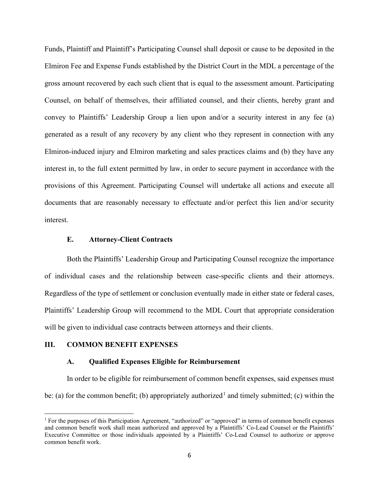Funds, Plaintiff and Plaintiff's Participating Counsel shall deposit or cause to be deposited in the Elmiron Fee and Expense Funds established by the District Court in the MDL a percentage of the gross amount recovered by each such client that is equal to the assessment amount. Participating Counsel, on behalf of themselves, their affiliated counsel, and their clients, hereby grant and convey to Plaintiffs' Leadership Group a lien upon and/or a security interest in any fee (a) generated as a result of any recovery by any client who they represent in connection with any Elmiron-induced injury and Elmiron marketing and sales practices claims and (b) they have any interest in, to the full extent permitted by law, in order to secure payment in accordance with the provisions of this Agreement. Participating Counsel will undertake all actions and execute all documents that are reasonably necessary to effectuate and/or perfect this lien and/or security interest.

## **E. Attorney-Client Contracts**

Both the Plaintiffs' Leadership Group and Participating Counsel recognize the importance of individual cases and the relationship between case-specific clients and their attorneys. Regardless of the type of settlement or conclusion eventually made in either state or federal cases, Plaintiffs' Leadership Group will recommend to the MDL Court that appropriate consideration will be given to individual case contracts between attorneys and their clients.

# **III. COMMON BENEFIT EXPENSES**

### **A. Qualified Expenses Eligible for Reimbursement**

In order to be eligible for reimbursement of common benefit expenses, said expenses must be: (a) for the common benefit; (b) appropriately authorized<sup>[1](#page-20-0)</sup> and timely submitted; (c) within the

<span id="page-20-0"></span><sup>1</sup> For the purposes of this Participation Agreement, "authorized" or "approved" in terms of common benefit expenses and common benefit work shall mean authorized and approved by a Plaintiffs' Co-Lead Counsel or the Plaintiffs' Executive Committee or those individuals appointed by a Plaintiffs' Co-Lead Counsel to authorize or approve common benefit work.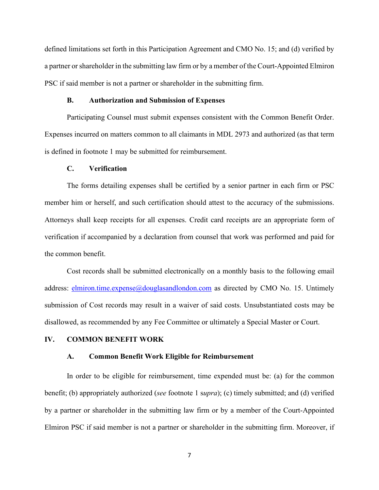defined limitations set forth in this Participation Agreement and CMO No. 15; and (d) verified by a partner or shareholder in the submitting law firm or by a member of the Court-Appointed Elmiron PSC if said member is not a partner or shareholder in the submitting firm.

## **B. Authorization and Submission of Expenses**

Participating Counsel must submit expenses consistent with the Common Benefit Order. Expenses incurred on matters common to all claimants in MDL 2973 and authorized (as that term is defined in footnote 1 may be submitted for reimbursement.

### **C. Verification**

The forms detailing expenses shall be certified by a senior partner in each firm or PSC member him or herself, and such certification should attest to the accuracy of the submissions. Attorneys shall keep receipts for all expenses. Credit card receipts are an appropriate form of verification if accompanied by a declaration from counsel that work was performed and paid for the common benefit.

Cost records shall be submitted electronically on a monthly basis to the following email address:  $\frac{elimiron.time.expense@douglasandlondon.com}{e}$  as directed by CMO No. 15. Untimely submission of Cost records may result in a waiver of said costs. Unsubstantiated costs may be disallowed, as recommended by any Fee Committee or ultimately a Special Master or Court.

### **IV. COMMON BENEFIT WORK**

#### **A. Common Benefit Work Eligible for Reimbursement**

In order to be eligible for reimbursement, time expended must be: (a) for the common benefit; (b) appropriately authorized (*see* footnote 1 s*upra*); (c) timely submitted; and (d) verified by a partner or shareholder in the submitting law firm or by a member of the Court-Appointed Elmiron PSC if said member is not a partner or shareholder in the submitting firm. Moreover, if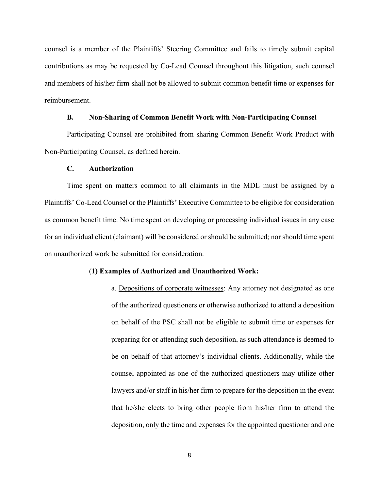counsel is a member of the Plaintiffs' Steering Committee and fails to timely submit capital contributions as may be requested by Co-Lead Counsel throughout this litigation, such counsel and members of his/her firm shall not be allowed to submit common benefit time or expenses for reimbursement.

# **B. Non-Sharing of Common Benefit Work with Non-Participating Counsel**

Participating Counsel are prohibited from sharing Common Benefit Work Product with Non-Participating Counsel, as defined herein.

#### **C. Authorization**

Time spent on matters common to all claimants in the MDL must be assigned by a Plaintiffs' Co-Lead Counsel or the Plaintiffs' Executive Committee to be eligible for consideration as common benefit time. No time spent on developing or processing individual issues in any case for an individual client (claimant) will be considered or should be submitted; nor should time spent on unauthorized work be submitted for consideration.

#### (**1) Examples of Authorized and Unauthorized Work:**

a. Depositions of corporate witnesses: Any attorney not designated as one of the authorized questioners or otherwise authorized to attend a deposition on behalf of the PSC shall not be eligible to submit time or expenses for preparing for or attending such deposition, as such attendance is deemed to be on behalf of that attorney's individual clients. Additionally, while the counsel appointed as one of the authorized questioners may utilize other lawyers and/or staff in his/her firm to prepare for the deposition in the event that he/she elects to bring other people from his/her firm to attend the deposition, only the time and expenses for the appointed questioner and one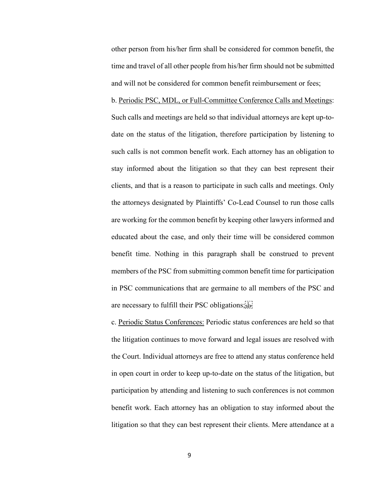other person from his/her firm shall be considered for common benefit, the time and travel of all other people from his/her firm should not be submitted and will not be considered for common benefit reimbursement or fees;

b. Periodic PSC, MDL, or Full-Committee Conference Calls and Meetings: Such calls and meetings are held so that individual attorneys are kept up-todate on the status of the litigation, therefore participation by listening to such calls is not common benefit work. Each attorney has an obligation to stay informed about the litigation so that they can best represent their clients, and that is a reason to participate in such calls and meetings. Only the attorneys designated by Plaintiffs' Co-Lead Counsel to run those calls are working for the common benefit by keeping other lawyers informed and educated about the case, and only their time will be considered common benefit time. Nothing in this paragraph shall be construed to prevent members of the PSC from submitting common benefit time for participation in PSC communications that are germaine to all members of the PSC and are necessary to fulfill their PSC obligations;

c. Periodic Status Conferences: Periodic status conferences are held so that the litigation continues to move forward and legal issues are resolved with the Court. Individual attorneys are free to attend any status conference held in open court in order to keep up-to-date on the status of the litigation, but participation by attending and listening to such conferences is not common benefit work. Each attorney has an obligation to stay informed about the litigation so that they can best represent their clients. Mere attendance at a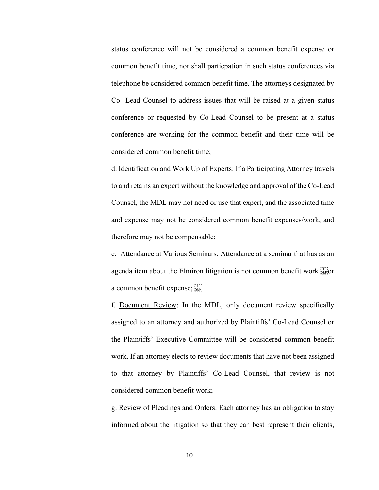status conference will not be considered a common benefit expense or common benefit time, nor shall particpation in such status conferences via telephone be considered common benefit time. The attorneys designated by Co- Lead Counsel to address issues that will be raised at a given status conference or requested by Co-Lead Counsel to be present at a status conference are working for the common benefit and their time will be considered common benefit time;

d. Identification and Work Up of Experts: If a Participating Attorney travels to and retains an expert without the knowledge and approval of the Co-Lead Counsel, the MDL may not need or use that expert, and the associated time and expense may not be considered common benefit expenses/work, and therefore may not be compensable;

e. Attendance at Various Seminars: Attendance at a seminar that has as an agenda item about the Elmiron litigation is not common benefit work  $\sum_{s \in P}$  or a common benefit expense;

f. Document Review: In the MDL, only document review specifically assigned to an attorney and authorized by Plaintiffs' Co-Lead Counsel or the Plaintiffs' Executive Committee will be considered common benefit work. If an attorney elects to review documents that have not been assigned to that attorney by Plaintiffs' Co-Lead Counsel, that review is not considered common benefit work;

g. Review of Pleadings and Orders: Each attorney has an obligation to stay informed about the litigation so that they can best represent their clients,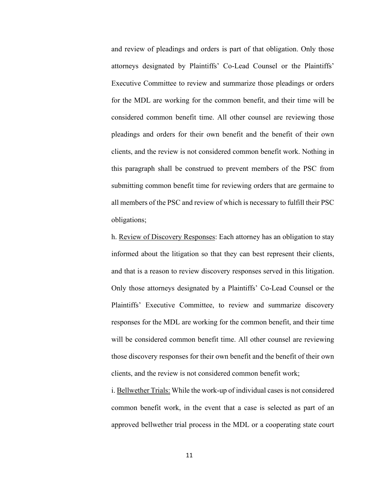and review of pleadings and orders is part of that obligation. Only those attorneys designated by Plaintiffs' Co-Lead Counsel or the Plaintiffs' Executive Committee to review and summarize those pleadings or orders for the MDL are working for the common benefit, and their time will be considered common benefit time. All other counsel are reviewing those pleadings and orders for their own benefit and the benefit of their own clients, and the review is not considered common benefit work. Nothing in this paragraph shall be construed to prevent members of the PSC from submitting common benefit time for reviewing orders that are germaine to all members of the PSC and review of which is necessary to fulfill their PSC obligations;

h. Review of Discovery Responses: Each attorney has an obligation to stay informed about the litigation so that they can best represent their clients, and that is a reason to review discovery responses served in this litigation. Only those attorneys designated by a Plaintiffs' Co-Lead Counsel or the Plaintiffs' Executive Committee, to review and summarize discovery responses for the MDL are working for the common benefit, and their time will be considered common benefit time. All other counsel are reviewing those discovery responses for their own benefit and the benefit of their own clients, and the review is not considered common benefit work;

i. Bellwether Trials: While the work-up of individual cases is not considered common benefit work, in the event that a case is selected as part of an approved bellwether trial process in the MDL or a cooperating state court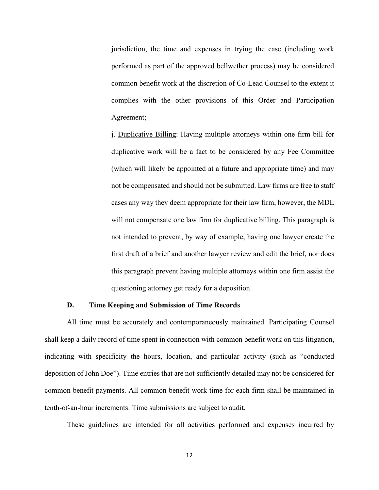jurisdiction, the time and expenses in trying the case (including work performed as part of the approved bellwether process) may be considered common benefit work at the discretion of Co-Lead Counsel to the extent it complies with the other provisions of this Order and Participation Agreement;

j. Duplicative Billing: Having multiple attorneys within one firm bill for duplicative work will be a fact to be considered by any Fee Committee (which will likely be appointed at a future and appropriate time) and may not be compensated and should not be submitted. Law firms are free to staff cases any way they deem appropriate for their law firm, however, the MDL will not compensate one law firm for duplicative billing. This paragraph is not intended to prevent, by way of example, having one lawyer create the first draft of a brief and another lawyer review and edit the brief, nor does this paragraph prevent having multiple attorneys within one firm assist the questioning attorney get ready for a deposition.

### **D. Time Keeping and Submission of Time Records**

All time must be accurately and contemporaneously maintained. Participating Counsel shall keep a daily record of time spent in connection with common benefit work on this litigation, indicating with specificity the hours, location, and particular activity (such as "conducted deposition of John Doe"). Time entries that are not sufficiently detailed may not be considered for common benefit payments. All common benefit work time for each firm shall be maintained in tenth-of-an-hour increments. Time submissions are subject to audit.

These guidelines are intended for all activities performed and expenses incurred by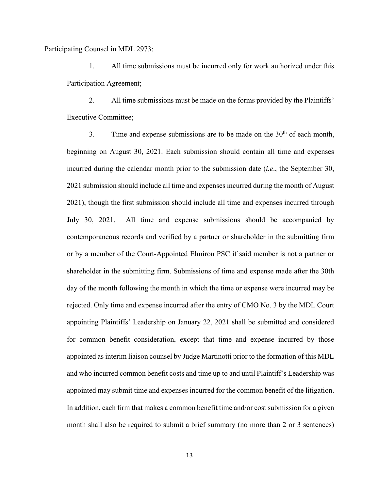Participating Counsel in MDL 2973:

1. All time submissions must be incurred only for work authorized under this Participation Agreement;

2. All time submissions must be made on the forms provided by the Plaintiffs' Executive Committee;

3. Time and expense submissions are to be made on the  $30<sup>th</sup>$  of each month, beginning on August 30, 2021. Each submission should contain all time and expenses incurred during the calendar month prior to the submission date (*i.e*., the September 30, 2021 submission should include all time and expenses incurred during the month of August 2021), though the first submission should include all time and expenses incurred through July 30, 2021. All time and expense submissions should be accompanied by contemporaneous records and verified by a partner or shareholder in the submitting firm or by a member of the Court-Appointed Elmiron PSC if said member is not a partner or shareholder in the submitting firm. Submissions of time and expense made after the 30th day of the month following the month in which the time or expense were incurred may be rejected. Only time and expense incurred after the entry of CMO No. 3 by the MDL Court appointing Plaintiffs' Leadership on January 22, 2021 shall be submitted and considered for common benefit consideration, except that time and expense incurred by those appointed as interim liaison counsel by Judge Martinotti prior to the formation of this MDL and who incurred common benefit costs and time up to and until Plaintiff's Leadership was appointed may submit time and expenses incurred for the common benefit of the litigation. In addition, each firm that makes a common benefit time and/or cost submission for a given month shall also be required to submit a brief summary (no more than 2 or 3 sentences)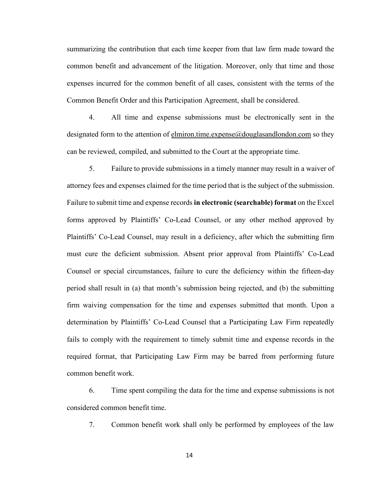summarizing the contribution that each time keeper from that law firm made toward the common benefit and advancement of the litigation. Moreover, only that time and those expenses incurred for the common benefit of all cases, consistent with the terms of the Common Benefit Order and this Participation Agreement, shall be considered.

4. All time and expense submissions must be electronically sent in the designated form to the attention of elmiron.time.expense@douglasandlondon.com so they can be reviewed, compiled, and submitted to the Court at the appropriate time.

5. Failure to provide submissions in a timely manner may result in a waiver of attorney fees and expenses claimed for the time period that is the subject of the submission. Failure to submit time and expense records **in electronic (searchable) format** on the Excel forms approved by Plaintiffs' Co-Lead Counsel, or any other method approved by Plaintiffs' Co-Lead Counsel, may result in a deficiency, after which the submitting firm must cure the deficient submission. Absent prior approval from Plaintiffs' Co-Lead Counsel or special circumstances, failure to cure the deficiency within the fifteen-day period shall result in (a) that month's submission being rejected, and (b) the submitting firm waiving compensation for the time and expenses submitted that month. Upon a determination by Plaintiffs' Co-Lead Counsel that a Participating Law Firm repeatedly fails to comply with the requirement to timely submit time and expense records in the required format, that Participating Law Firm may be barred from performing future common benefit work.

6. Time spent compiling the data for the time and expense submissions is not considered common benefit time.

7. Common benefit work shall only be performed by employees of the law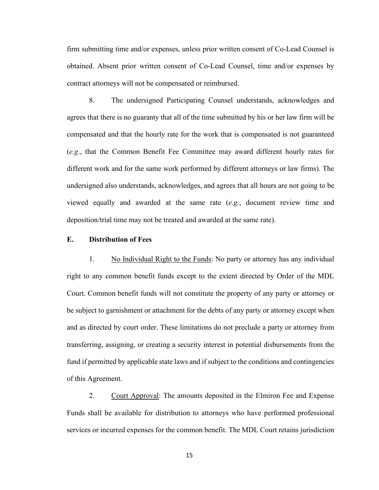firm submitting time and/or expenses, unless prior written consent of Co-Lead Counsel is obtained. Absent prior written consent of Co-Lead Counsel, time and/or expenses by contract attorneys will not be compensated or reimbursed.

8. The undersigned Participating Counsel understands, acknowledges and agrees that there is no guaranty that all of the time submitted by his or her law firm will be compensated and that the hourly rate for the work that is compensated is not guaranteed (*e.g*., that the Common Benefit Fee Committee may award different hourly rates for different work and for the same work performed by different attorneys or law firms). The undersigned also understands, acknowledges, and agrees that all hours are not going to be viewed equally and awarded at the same rate (*e.g.*, document review time and deposition/trial time may not be treated and awarded at the same rate).

## **E. Distribution of Fees**

1. No Individual Right to the Funds: No party or attorney has any individual right to any common benefit funds except to the extent directed by Order of the MDL Court. Common benefit funds will not constitute the property of any party or attorney or be subject to garnishment or attachment for the debts of any party or attorney except when and as directed by court order. These limitations do not preclude a party or attorney from transferring, assigning, or creating a security interest in potential disbursements from the fund if permitted by applicable state laws and if subject to the conditions and contingencies of this Agreement.

2. Court Approval: The amounts deposited in the Elmiron Fee and Expense Funds shall be available for distribution to attorneys who have performed professional services or incurred expenses for the common benefit. The MDL Court retains jurisdiction

15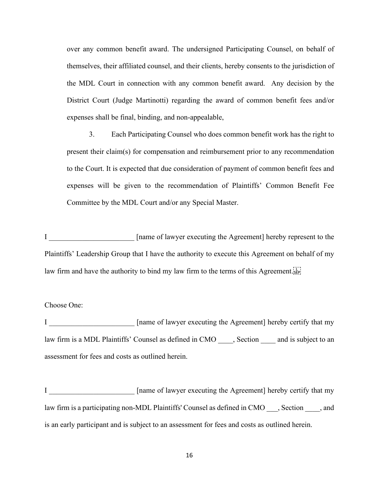over any common benefit award. The undersigned Participating Counsel, on behalf of themselves, their affiliated counsel, and their clients, hereby consents to the jurisdiction of the MDL Court in connection with any common benefit award. Any decision by the District Court (Judge Martinotti) regarding the award of common benefit fees and/or expenses shall be final, binding, and non-appealable,

3. Each Participating Counsel who does common benefit work has the right to present their claim(s) for compensation and reimbursement prior to any recommendation to the Court. It is expected that due consideration of payment of common benefit fees and expenses will be given to the recommendation of Plaintiffs' Common Benefit Fee Committee by the MDL Court and/or any Special Master.

I cannot a lawyer executing the Agreement l hereby represent to the Plaintiffs' Leadership Group that I have the authority to execute this Agreement on behalf of my law firm and have the authority to bind my law firm to the terms of this Agreement.

#### Choose One:

I \_\_\_\_\_\_\_\_\_\_\_\_\_\_\_\_\_\_\_\_\_\_\_ [name of lawyer executing the Agreement] hereby certify that my law firm is a MDL Plaintiffs' Counsel as defined in CMO \_\_\_\_, Section \_\_\_\_ and is subject to an assessment for fees and costs as outlined herein.

I \_\_\_\_\_\_\_\_\_\_\_\_\_\_\_\_\_\_\_\_\_\_\_ [name of lawyer executing the Agreement] hereby certify that my law firm is a participating non-MDL Plaintiffs' Counsel as defined in CMO \_\_\_, Section \_\_\_\_, and is an early participant and is subject to an assessment for fees and costs as outlined herein.